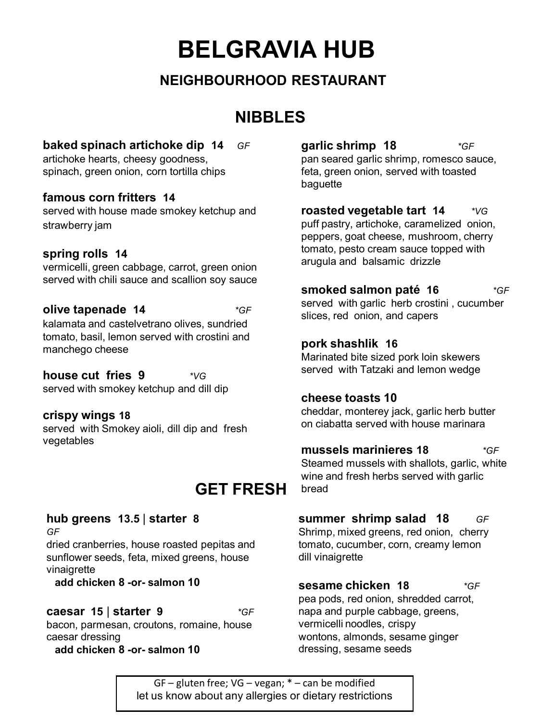# **BELGRAVIA HUB**

## **NEIGHBOURHOOD RESTAURANT**

# **NIBBLES**

#### **baked spinach artichoke dip 14** *GF*

artichoke hearts, cheesy goodness, spinach, green onion, corn tortilla chips

#### **famous corn fritters 14**

served with house made smokey ketchup and strawberry jam

#### **spring rolls 14**

vermicelli, green cabbage, carrot, green onion served with chili sauce and scallion soy sauce

#### **olive tapenade 14** *\*GF*

kalamata and castelvetrano olives, sundried tomato, basil, lemon served with crostini and manchego cheese

#### **house cut fries 9** *\*VG*

served with smokey ketchup and dill dip

#### **crispy wings 18**

served with Smokey aioli, dill dip and fresh vegetables

# **GET FRESH**

### **hub greens 13.5** | **starter 8**

*GF*

dried cranberries, house roasted pepitas and sunflower seeds, feta, mixed greens, house vinaigrette

**add chicken 8 -or- salmon 10**

#### **caesar 15** | **starter 9** *\*GF*

bacon, parmesan, croutons, romaine, house caesar dressing

**add chicken 8 -or- salmon 10**

**garlic shrimp 18** *\*GF*  pan seared garlic shrimp, romesco sauce, feta, green onion, served with toasted baguette

**roasted vegetable tart 14** *\*VG* puff pastry, artichoke, caramelized onion, peppers, goat cheese, mushroom, cherry tomato, pesto cream sauce topped with arugula and balsamic drizzle

**smoked salmon paté 16** *\*GF*  served with garlic herb crostini , cucumber slices, red onion, and capers

#### **pork shashlik 16**

Marinated bite sized pork loin skewers served with Tatzaki and lemon wedge

#### **cheese toasts 10**

cheddar, monterey jack, garlic herb butter on ciabatta served with house marinara

#### **mussels marinieres 18** *\*GF*  Steamed mussels with shallots, garlic, white wine and fresh herbs served with garlic bread

**summer shrimp salad 18** *GF* Shrimp, mixed greens, red onion, cherry tomato, cucumber, corn, creamy lemon dill vinaigrette

**sesame chicken 18** *\*GF* pea pods, red onion, shredded carrot, napa and purple cabbage, greens, vermicelli noodles, crispy wontons, almonds, sesame ginger dressing, sesame seeds

GF – gluten free; VG – vegan; \* – can be modified let us know about any allergies or dietary restrictions